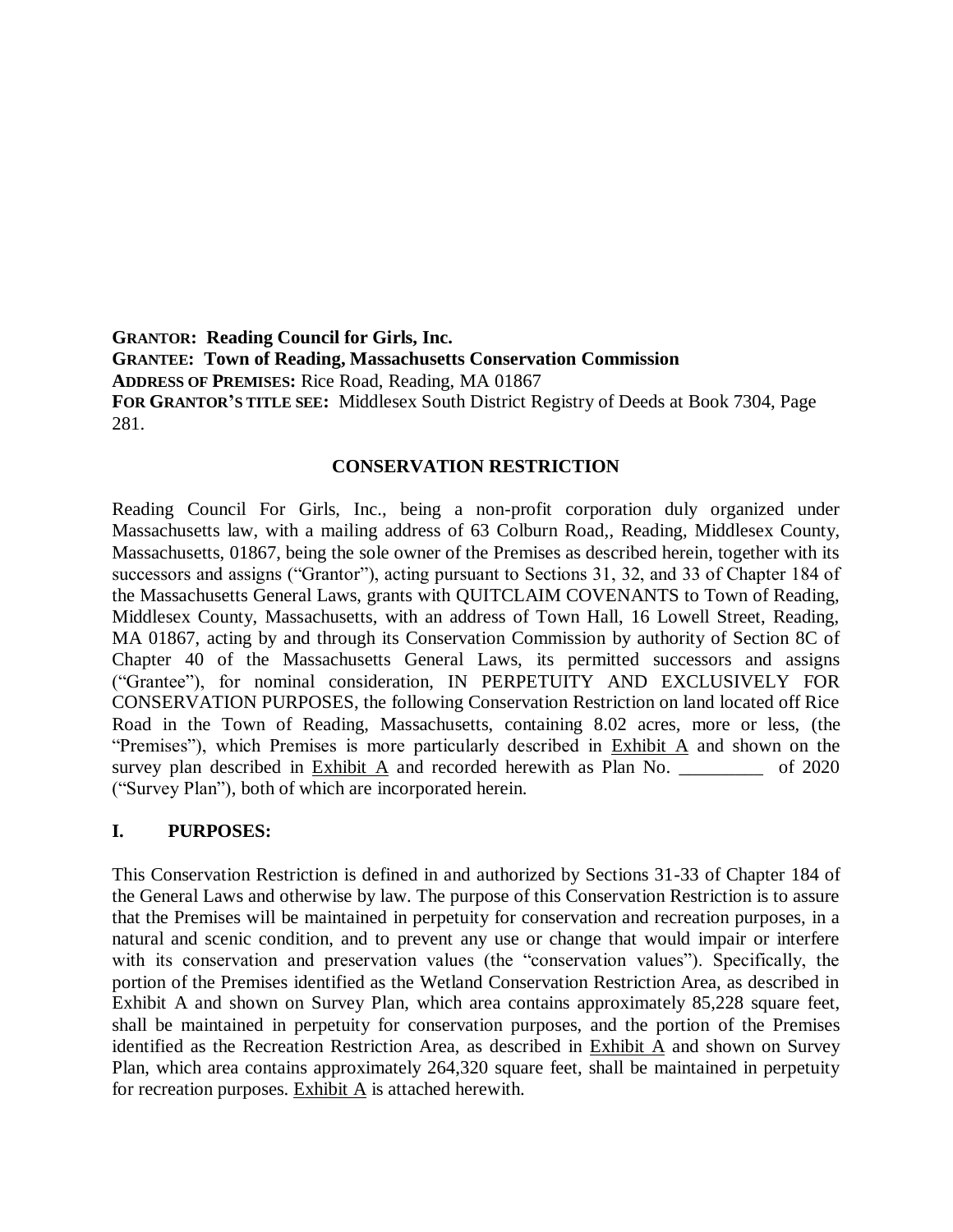**GRANTOR: Reading Council for Girls, Inc. GRANTEE: Town of Reading, Massachusetts Conservation Commission ADDRESS OF PREMISES:** Rice Road, Reading, MA 01867 **FOR GRANTOR'S TITLE SEE:** Middlesex South District Registry of Deeds at Book 7304, Page 281.

### **CONSERVATION RESTRICTION**

Reading Council For Girls, Inc., being a non-profit corporation duly organized under Massachusetts law, with a mailing address of 63 Colburn Road,, Reading, Middlesex County, Massachusetts, 01867, being the sole owner of the Premises as described herein, together with its successors and assigns ("Grantor"), acting pursuant to Sections 31, 32, and 33 of Chapter 184 of the Massachusetts General Laws, grants with QUITCLAIM COVENANTS to Town of Reading, Middlesex County, Massachusetts, with an address of Town Hall, 16 Lowell Street, Reading, MA 01867, acting by and through its Conservation Commission by authority of Section 8C of Chapter 40 of the Massachusetts General Laws, its permitted successors and assigns ("Grantee"), for nominal consideration, IN PERPETUITY AND EXCLUSIVELY FOR CONSERVATION PURPOSES, the following Conservation Restriction on land located off Rice Road in the Town of Reading, Massachusetts, containing 8.02 acres, more or less, (the "Premises"), which Premises is more particularly described in Exhibit A and shown on the survey plan described in Exhibit A and recorded herewith as Plan No. \_\_\_\_\_\_\_\_\_ of 2020 ("Survey Plan"), both of which are incorporated herein.

### **I. PURPOSES:**

This Conservation Restriction is defined in and authorized by Sections 31-33 of Chapter 184 of the General Laws and otherwise by law. The purpose of this Conservation Restriction is to assure that the Premises will be maintained in perpetuity for conservation and recreation purposes, in a natural and scenic condition, and to prevent any use or change that would impair or interfere with its conservation and preservation values (the "conservation values"). Specifically, the portion of the Premises identified as the Wetland Conservation Restriction Area, as described in Exhibit A and shown on Survey Plan, which area contains approximately 85,228 square feet, shall be maintained in perpetuity for conservation purposes, and the portion of the Premises identified as the Recreation Restriction Area, as described in Exhibit A and shown on Survey Plan, which area contains approximately 264,320 square feet, shall be maintained in perpetuity for recreation purposes. Exhibit A is attached herewith.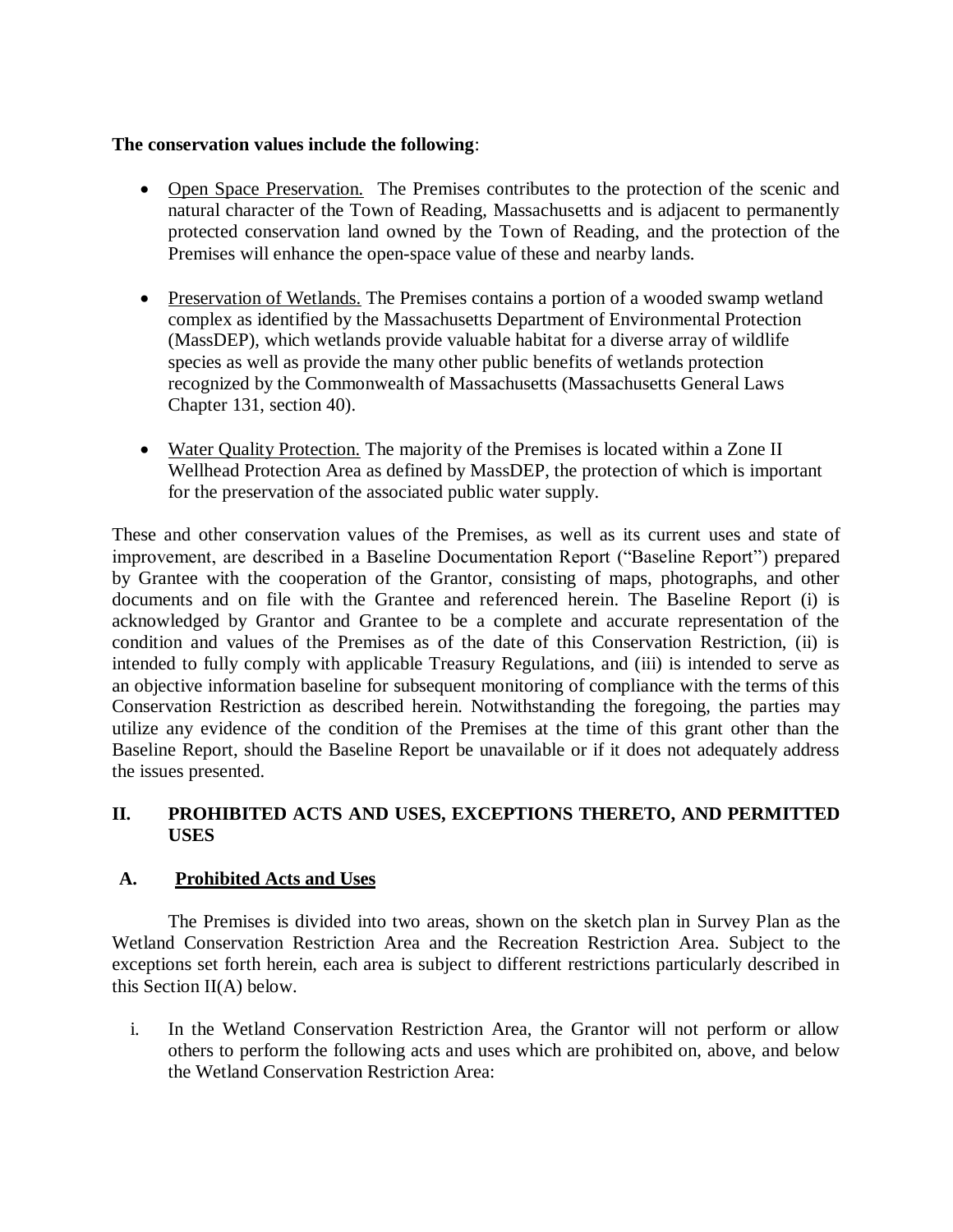### **The conservation values include the following**:

- Open Space Preservation. The Premises contributes to the protection of the scenic and natural character of the Town of Reading, Massachusetts and is adjacent to permanently protected conservation land owned by the Town of Reading, and the protection of the Premises will enhance the open-space value of these and nearby lands.
- Preservation of Wetlands. The Premises contains a portion of a wooded swamp wetland complex as identified by the Massachusetts Department of Environmental Protection (MassDEP), which wetlands provide valuable habitat for a diverse array of wildlife species as well as provide the many other public benefits of wetlands protection recognized by the Commonwealth of Massachusetts (Massachusetts General Laws Chapter 131, section 40).
- Water Quality Protection. The majority of the Premises is located within a Zone II Wellhead Protection Area as defined by MassDEP, the protection of which is important for the preservation of the associated public water supply.

These and other conservation values of the Premises, as well as its current uses and state of improvement, are described in a Baseline Documentation Report ("Baseline Report") prepared by Grantee with the cooperation of the Grantor, consisting of maps, photographs, and other documents and on file with the Grantee and referenced herein. The Baseline Report (i) is acknowledged by Grantor and Grantee to be a complete and accurate representation of the condition and values of the Premises as of the date of this Conservation Restriction, (ii) is intended to fully comply with applicable Treasury Regulations, and (iii) is intended to serve as an objective information baseline for subsequent monitoring of compliance with the terms of this Conservation Restriction as described herein. Notwithstanding the foregoing, the parties may utilize any evidence of the condition of the Premises at the time of this grant other than the Baseline Report, should the Baseline Report be unavailable or if it does not adequately address the issues presented.

# **II. PROHIBITED ACTS AND USES, EXCEPTIONS THERETO, AND PERMITTED USES**

# **A. Prohibited Acts and Uses**

The Premises is divided into two areas, shown on the sketch plan in Survey Plan as the Wetland Conservation Restriction Area and the Recreation Restriction Area. Subject to the exceptions set forth herein, each area is subject to different restrictions particularly described in this Section II(A) below.

i. In the Wetland Conservation Restriction Area, the Grantor will not perform or allow others to perform the following acts and uses which are prohibited on, above, and below the Wetland Conservation Restriction Area: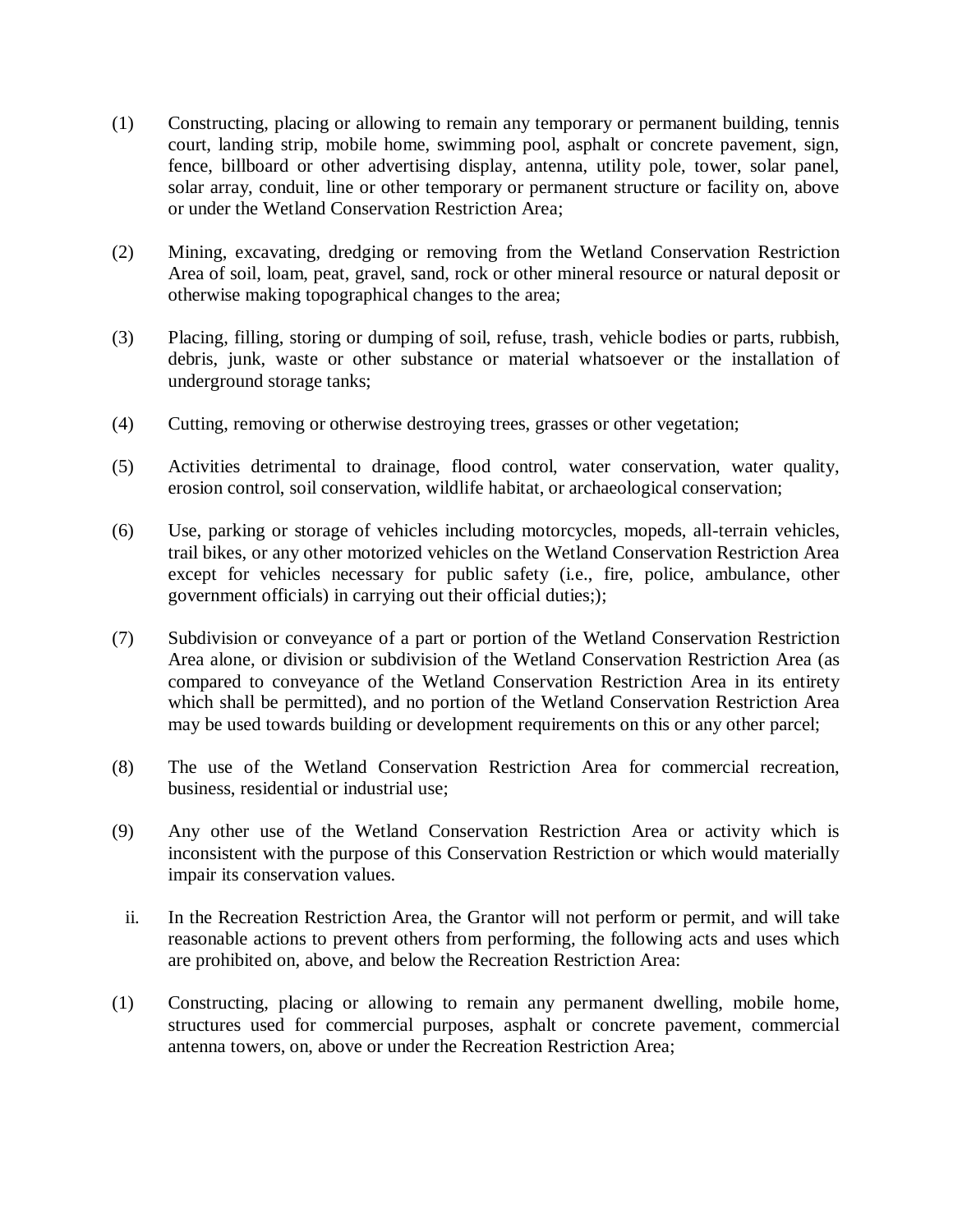- (1) Constructing, placing or allowing to remain any temporary or permanent building, tennis court, landing strip, mobile home, swimming pool, asphalt or concrete pavement, sign, fence, billboard or other advertising display, antenna, utility pole, tower, solar panel, solar array, conduit, line or other temporary or permanent structure or facility on, above or under the Wetland Conservation Restriction Area;
- (2) Mining, excavating, dredging or removing from the Wetland Conservation Restriction Area of soil, loam, peat, gravel, sand, rock or other mineral resource or natural deposit or otherwise making topographical changes to the area;
- (3) Placing, filling, storing or dumping of soil, refuse, trash, vehicle bodies or parts, rubbish, debris, junk, waste or other substance or material whatsoever or the installation of underground storage tanks;
- (4) Cutting, removing or otherwise destroying trees, grasses or other vegetation;
- (5) Activities detrimental to drainage, flood control, water conservation, water quality, erosion control, soil conservation, wildlife habitat, or archaeological conservation;
- (6) Use, parking or storage of vehicles including motorcycles, mopeds, all-terrain vehicles, trail bikes, or any other motorized vehicles on the Wetland Conservation Restriction Area except for vehicles necessary for public safety (i.e., fire, police, ambulance, other government officials) in carrying out their official duties;);
- (7) Subdivision or conveyance of a part or portion of the Wetland Conservation Restriction Area alone, or division or subdivision of the Wetland Conservation Restriction Area (as compared to conveyance of the Wetland Conservation Restriction Area in its entirety which shall be permitted), and no portion of the Wetland Conservation Restriction Area may be used towards building or development requirements on this or any other parcel;
- (8) The use of the Wetland Conservation Restriction Area for commercial recreation, business, residential or industrial use;
- (9) Any other use of the Wetland Conservation Restriction Area or activity which is inconsistent with the purpose of this Conservation Restriction or which would materially impair its conservation values.
- ii. In the Recreation Restriction Area, the Grantor will not perform or permit, and will take reasonable actions to prevent others from performing, the following acts and uses which are prohibited on, above, and below the Recreation Restriction Area:
- (1) Constructing, placing or allowing to remain any permanent dwelling, mobile home, structures used for commercial purposes, asphalt or concrete pavement, commercial antenna towers, on, above or under the Recreation Restriction Area;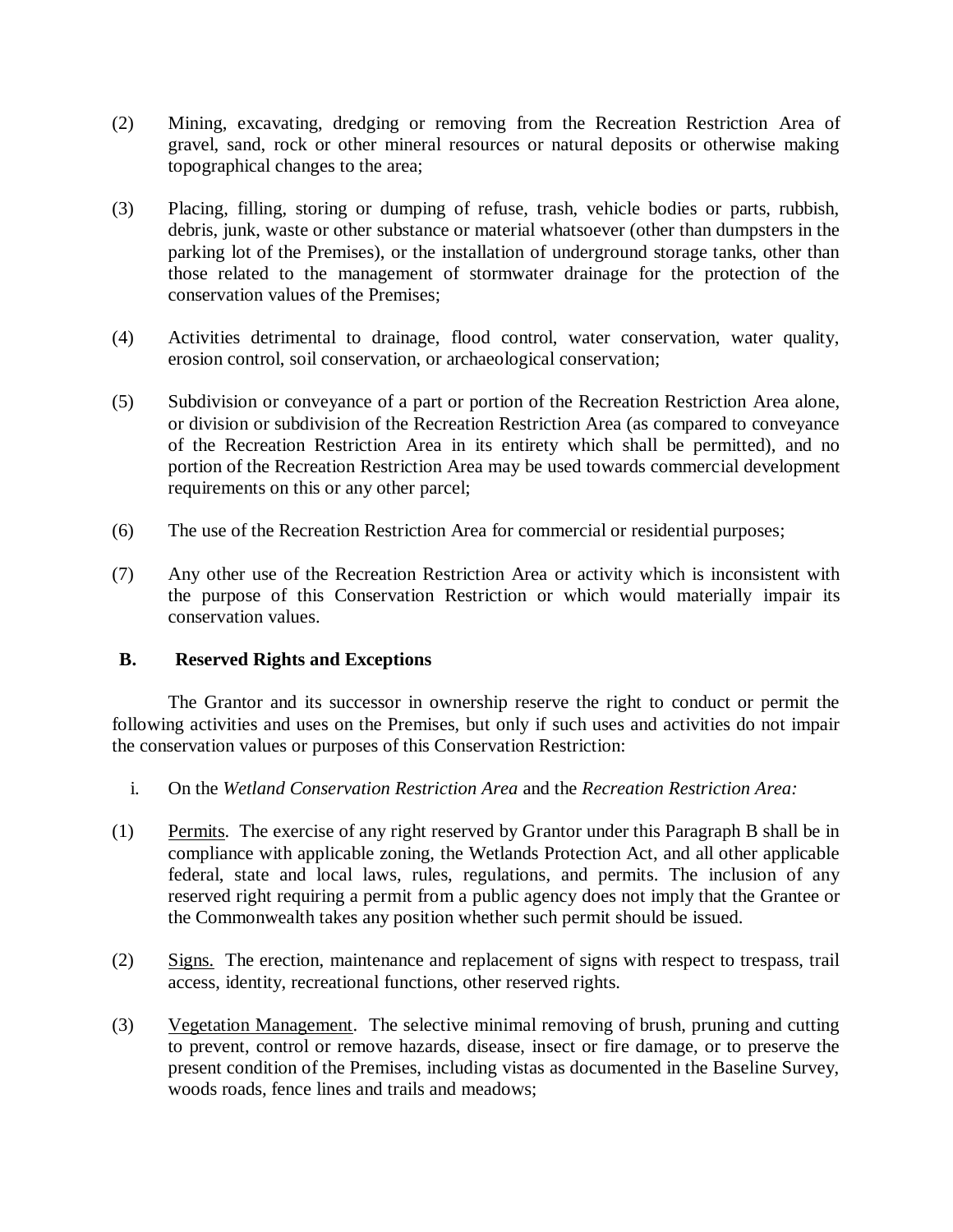- (2) Mining, excavating, dredging or removing from the Recreation Restriction Area of gravel, sand, rock or other mineral resources or natural deposits or otherwise making topographical changes to the area;
- (3) Placing, filling, storing or dumping of refuse, trash, vehicle bodies or parts, rubbish, debris, junk, waste or other substance or material whatsoever (other than dumpsters in the parking lot of the Premises), or the installation of underground storage tanks, other than those related to the management of stormwater drainage for the protection of the conservation values of the Premises;
- (4) Activities detrimental to drainage, flood control, water conservation, water quality, erosion control, soil conservation, or archaeological conservation;
- (5) Subdivision or conveyance of a part or portion of the Recreation Restriction Area alone, or division or subdivision of the Recreation Restriction Area (as compared to conveyance of the Recreation Restriction Area in its entirety which shall be permitted), and no portion of the Recreation Restriction Area may be used towards commercial development requirements on this or any other parcel;
- (6) The use of the Recreation Restriction Area for commercial or residential purposes;
- (7) Any other use of the Recreation Restriction Area or activity which is inconsistent with the purpose of this Conservation Restriction or which would materially impair its conservation values.

#### **B. Reserved Rights and Exceptions**

The Grantor and its successor in ownership reserve the right to conduct or permit the following activities and uses on the Premises, but only if such uses and activities do not impair the conservation values or purposes of this Conservation Restriction:

- i. On the *Wetland Conservation Restriction Area* and the *Recreation Restriction Area:*
- (1) Permits. The exercise of any right reserved by Grantor under this Paragraph B shall be in compliance with applicable zoning, the Wetlands Protection Act, and all other applicable federal, state and local laws, rules, regulations, and permits. The inclusion of any reserved right requiring a permit from a public agency does not imply that the Grantee or the Commonwealth takes any position whether such permit should be issued.
- (2) Signs. The erection, maintenance and replacement of signs with respect to trespass, trail access, identity, recreational functions, other reserved rights.
- (3) Vegetation Management. The selective minimal removing of brush, pruning and cutting to prevent, control or remove hazards, disease, insect or fire damage, or to preserve the present condition of the Premises, including vistas as documented in the Baseline Survey, woods roads, fence lines and trails and meadows;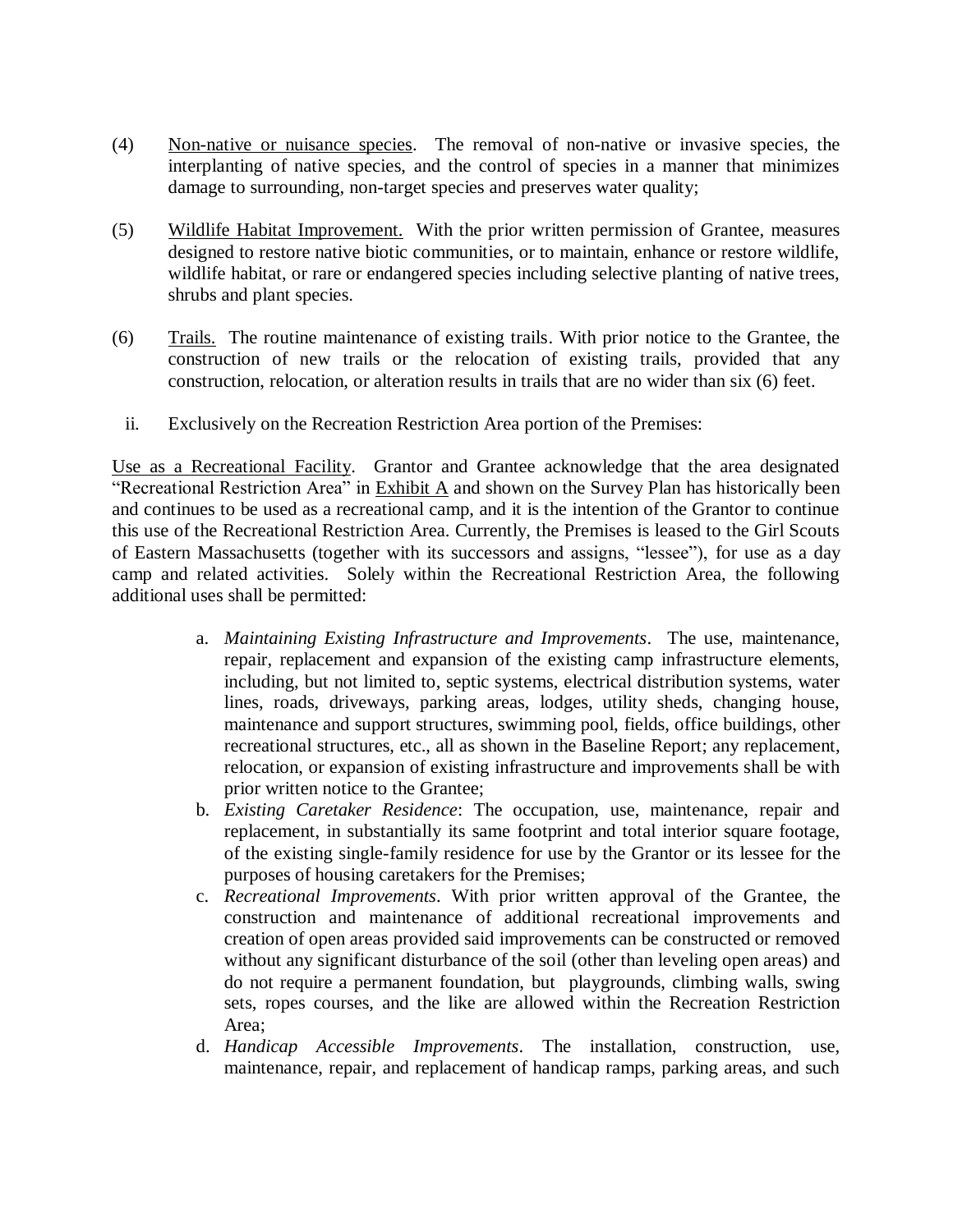- (4) Non-native or nuisance species. The removal of non-native or invasive species, the interplanting of native species, and the control of species in a manner that minimizes damage to surrounding, non-target species and preserves water quality;
- (5) Wildlife Habitat Improvement. With the prior written permission of Grantee, measures designed to restore native biotic communities, or to maintain, enhance or restore wildlife, wildlife habitat, or rare or endangered species including selective planting of native trees, shrubs and plant species.
- (6) Trails. The routine maintenance of existing trails. With prior notice to the Grantee, the construction of new trails or the relocation of existing trails, provided that any construction, relocation, or alteration results in trails that are no wider than six (6) feet.
	- ii. Exclusively on the Recreation Restriction Area portion of the Premises:

Use as a Recreational Facility. Grantor and Grantee acknowledge that the area designated "Recreational Restriction Area" in Exhibit A and shown on the Survey Plan has historically been and continues to be used as a recreational camp, and it is the intention of the Grantor to continue this use of the Recreational Restriction Area. Currently, the Premises is leased to the Girl Scouts of Eastern Massachusetts (together with its successors and assigns, "lessee"), for use as a day camp and related activities. Solely within the Recreational Restriction Area, the following additional uses shall be permitted:

- a. *Maintaining Existing Infrastructure and Improvements*. The use, maintenance, repair, replacement and expansion of the existing camp infrastructure elements, including, but not limited to, septic systems, electrical distribution systems, water lines, roads, driveways, parking areas, lodges, utility sheds, changing house, maintenance and support structures, swimming pool, fields, office buildings, other recreational structures, etc., all as shown in the Baseline Report; any replacement, relocation, or expansion of existing infrastructure and improvements shall be with prior written notice to the Grantee;
- b. *Existing Caretaker Residence*: The occupation, use, maintenance, repair and replacement, in substantially its same footprint and total interior square footage, of the existing single-family residence for use by the Grantor or its lessee for the purposes of housing caretakers for the Premises;
- c. *Recreational Improvements*. With prior written approval of the Grantee, the construction and maintenance of additional recreational improvements and creation of open areas provided said improvements can be constructed or removed without any significant disturbance of the soil (other than leveling open areas) and do not require a permanent foundation, but playgrounds, climbing walls, swing sets, ropes courses, and the like are allowed within the Recreation Restriction Area;
- d. *Handicap Accessible Improvements*. The installation, construction, use, maintenance, repair, and replacement of handicap ramps, parking areas, and such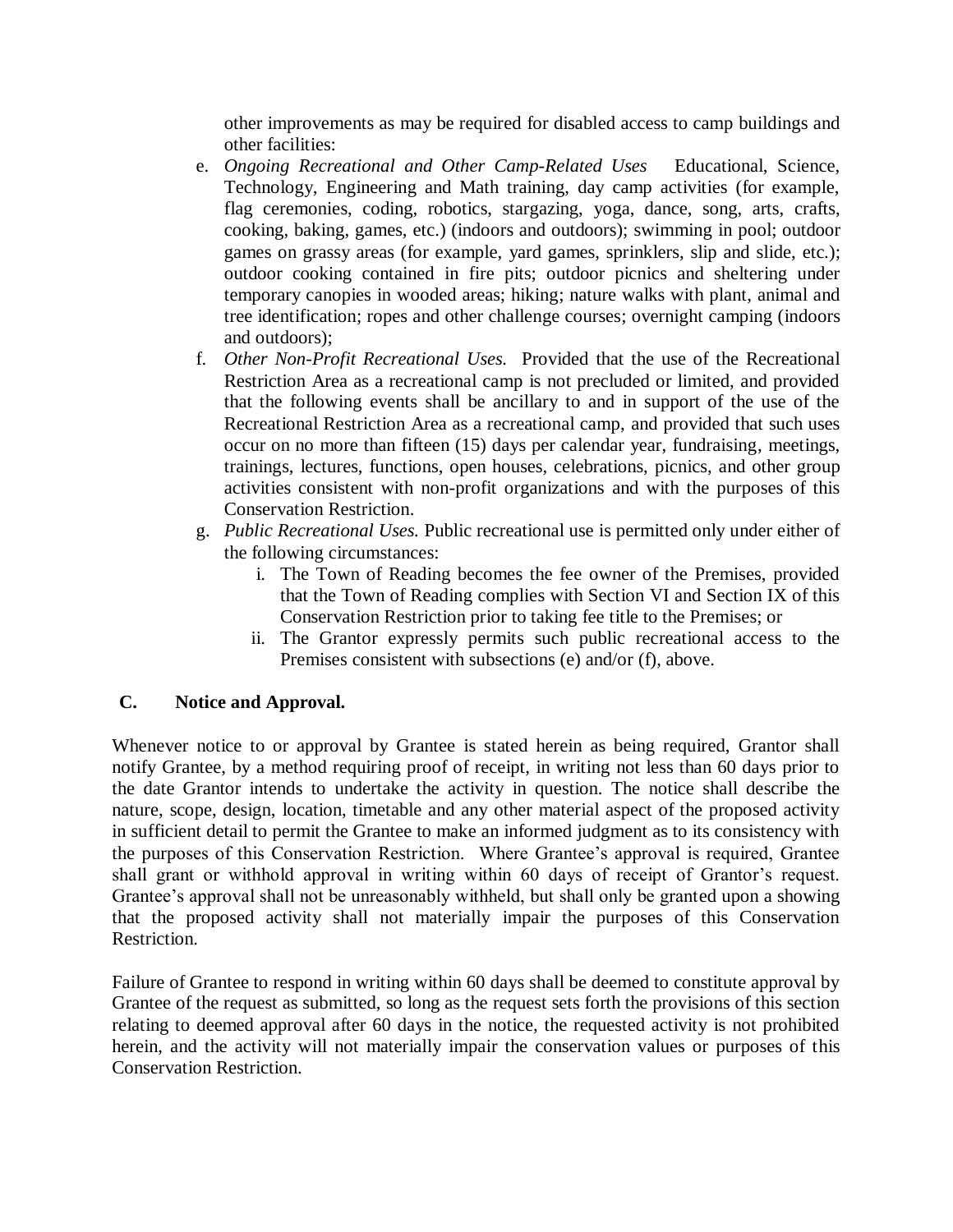other improvements as may be required for disabled access to camp buildings and other facilities:

- e. *Ongoing Recreational and Other Camp-Related Uses* Educational, Science, Technology, Engineering and Math training, day camp activities (for example, flag ceremonies, coding, robotics, stargazing, yoga, dance, song, arts, crafts, cooking, baking, games, etc.) (indoors and outdoors); swimming in pool; outdoor games on grassy areas (for example, yard games, sprinklers, slip and slide, etc.); outdoor cooking contained in fire pits; outdoor picnics and sheltering under temporary canopies in wooded areas; hiking; nature walks with plant, animal and tree identification; ropes and other challenge courses; overnight camping (indoors and outdoors);
- f. *Other Non-Profit Recreational Uses.* Provided that the use of the Recreational Restriction Area as a recreational camp is not precluded or limited, and provided that the following events shall be ancillary to and in support of the use of the Recreational Restriction Area as a recreational camp, and provided that such uses occur on no more than fifteen (15) days per calendar year, fundraising, meetings, trainings, lectures, functions, open houses, celebrations, picnics, and other group activities consistent with non-profit organizations and with the purposes of this Conservation Restriction.
- g. *Public Recreational Uses.* Public recreational use is permitted only under either of the following circumstances:
	- i. The Town of Reading becomes the fee owner of the Premises, provided that the Town of Reading complies with Section VI and Section IX of this Conservation Restriction prior to taking fee title to the Premises; or
	- ii. The Grantor expressly permits such public recreational access to the Premises consistent with subsections (e) and/or (f), above.

# **C. Notice and Approval.**

Whenever notice to or approval by Grantee is stated herein as being required, Grantor shall notify Grantee, by a method requiring proof of receipt, in writing not less than 60 days prior to the date Grantor intends to undertake the activity in question. The notice shall describe the nature, scope, design, location, timetable and any other material aspect of the proposed activity in sufficient detail to permit the Grantee to make an informed judgment as to its consistency with the purposes of this Conservation Restriction. Where Grantee's approval is required, Grantee shall grant or withhold approval in writing within 60 days of receipt of Grantor's request. Grantee's approval shall not be unreasonably withheld, but shall only be granted upon a showing that the proposed activity shall not materially impair the purposes of this Conservation Restriction.

Failure of Grantee to respond in writing within 60 days shall be deemed to constitute approval by Grantee of the request as submitted, so long as the request sets forth the provisions of this section relating to deemed approval after 60 days in the notice, the requested activity is not prohibited herein, and the activity will not materially impair the conservation values or purposes of this Conservation Restriction.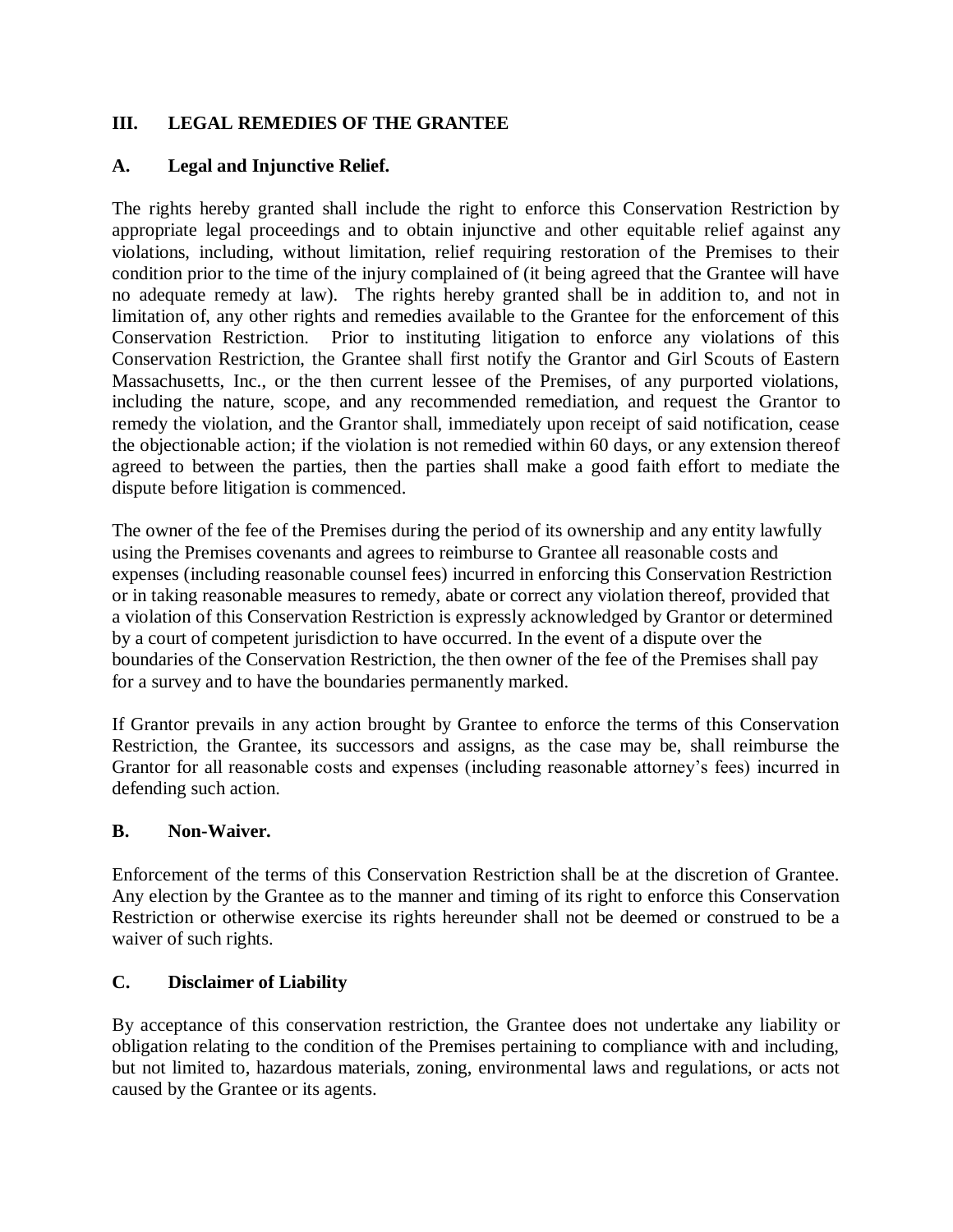# **III. LEGAL REMEDIES OF THE GRANTEE**

# **A. Legal and Injunctive Relief.**

The rights hereby granted shall include the right to enforce this Conservation Restriction by appropriate legal proceedings and to obtain injunctive and other equitable relief against any violations, including, without limitation, relief requiring restoration of the Premises to their condition prior to the time of the injury complained of (it being agreed that the Grantee will have no adequate remedy at law). The rights hereby granted shall be in addition to, and not in limitation of, any other rights and remedies available to the Grantee for the enforcement of this Conservation Restriction. Prior to instituting litigation to enforce any violations of this Conservation Restriction, the Grantee shall first notify the Grantor and Girl Scouts of Eastern Massachusetts, Inc., or the then current lessee of the Premises, of any purported violations, including the nature, scope, and any recommended remediation, and request the Grantor to remedy the violation, and the Grantor shall, immediately upon receipt of said notification, cease the objectionable action; if the violation is not remedied within 60 days, or any extension thereof agreed to between the parties, then the parties shall make a good faith effort to mediate the dispute before litigation is commenced.

The owner of the fee of the Premises during the period of its ownership and any entity lawfully using the Premises covenants and agrees to reimburse to Grantee all reasonable costs and expenses (including reasonable counsel fees) incurred in enforcing this Conservation Restriction or in taking reasonable measures to remedy, abate or correct any violation thereof, provided that a violation of this Conservation Restriction is expressly acknowledged by Grantor or determined by a court of competent jurisdiction to have occurred. In the event of a dispute over the boundaries of the Conservation Restriction, the then owner of the fee of the Premises shall pay for a survey and to have the boundaries permanently marked.

If Grantor prevails in any action brought by Grantee to enforce the terms of this Conservation Restriction, the Grantee, its successors and assigns, as the case may be, shall reimburse the Grantor for all reasonable costs and expenses (including reasonable attorney's fees) incurred in defending such action.

# **B. Non-Waiver.**

Enforcement of the terms of this Conservation Restriction shall be at the discretion of Grantee. Any election by the Grantee as to the manner and timing of its right to enforce this Conservation Restriction or otherwise exercise its rights hereunder shall not be deemed or construed to be a waiver of such rights.

# **C. Disclaimer of Liability**

By acceptance of this conservation restriction, the Grantee does not undertake any liability or obligation relating to the condition of the Premises pertaining to compliance with and including, but not limited to, hazardous materials, zoning, environmental laws and regulations, or acts not caused by the Grantee or its agents.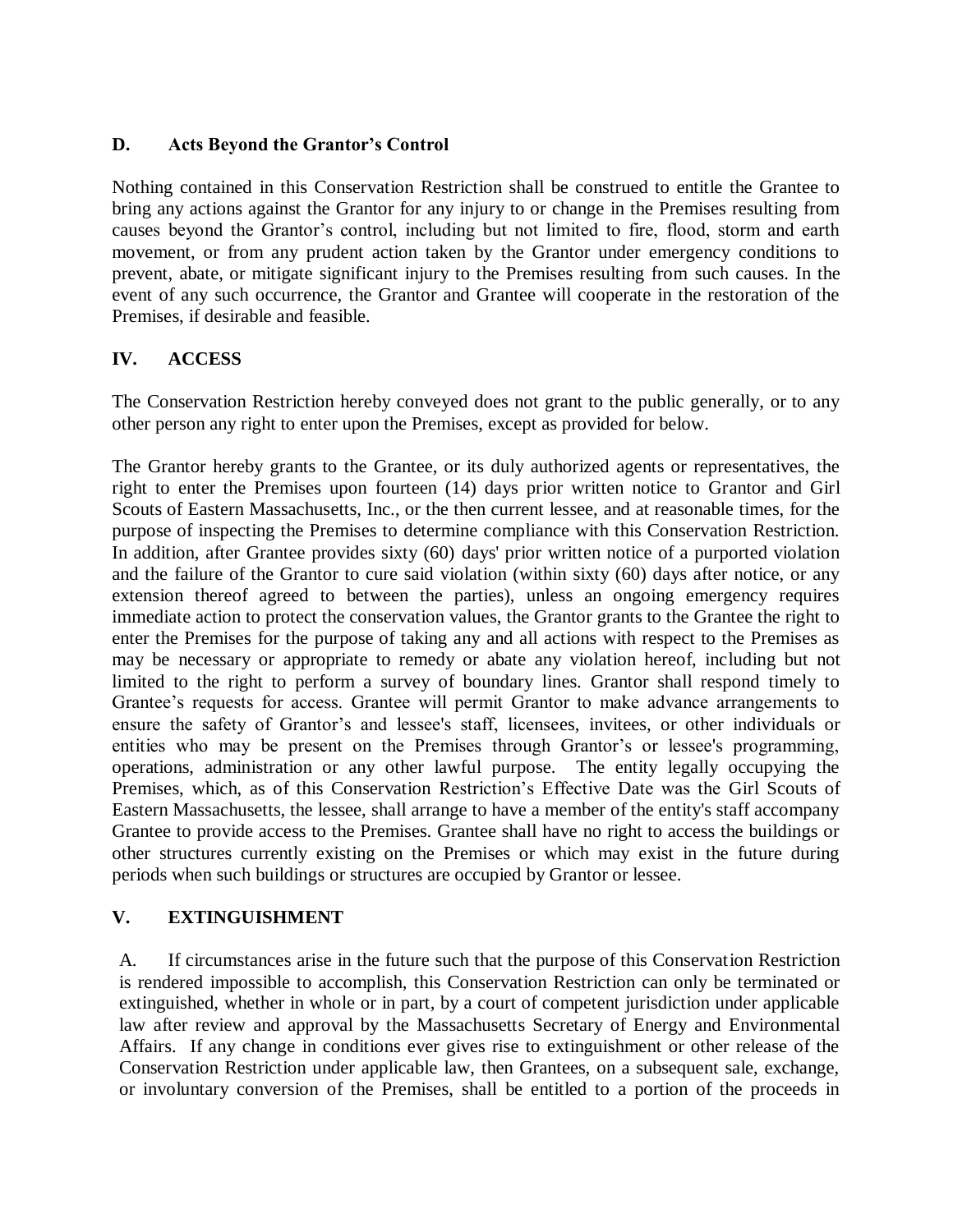### **D. Acts Beyond the Grantor's Control**

Nothing contained in this Conservation Restriction shall be construed to entitle the Grantee to bring any actions against the Grantor for any injury to or change in the Premises resulting from causes beyond the Grantor's control, including but not limited to fire, flood, storm and earth movement, or from any prudent action taken by the Grantor under emergency conditions to prevent, abate, or mitigate significant injury to the Premises resulting from such causes. In the event of any such occurrence, the Grantor and Grantee will cooperate in the restoration of the Premises, if desirable and feasible.

# **IV. ACCESS**

The Conservation Restriction hereby conveyed does not grant to the public generally, or to any other person any right to enter upon the Premises, except as provided for below.

The Grantor hereby grants to the Grantee, or its duly authorized agents or representatives, the right to enter the Premises upon fourteen (14) days prior written notice to Grantor and Girl Scouts of Eastern Massachusetts, Inc., or the then current lessee, and at reasonable times, for the purpose of inspecting the Premises to determine compliance with this Conservation Restriction. In addition, after Grantee provides sixty (60) days' prior written notice of a purported violation and the failure of the Grantor to cure said violation (within sixty (60) days after notice, or any extension thereof agreed to between the parties), unless an ongoing emergency requires immediate action to protect the conservation values, the Grantor grants to the Grantee the right to enter the Premises for the purpose of taking any and all actions with respect to the Premises as may be necessary or appropriate to remedy or abate any violation hereof, including but not limited to the right to perform a survey of boundary lines. Grantor shall respond timely to Grantee's requests for access. Grantee will permit Grantor to make advance arrangements to ensure the safety of Grantor's and lessee's staff, licensees, invitees, or other individuals or entities who may be present on the Premises through Grantor's or lessee's programming, operations, administration or any other lawful purpose. The entity legally occupying the Premises, which, as of this Conservation Restriction's Effective Date was the Girl Scouts of Eastern Massachusetts, the lessee, shall arrange to have a member of the entity's staff accompany Grantee to provide access to the Premises. Grantee shall have no right to access the buildings or other structures currently existing on the Premises or which may exist in the future during periods when such buildings or structures are occupied by Grantor or lessee.

# **V. EXTINGUISHMENT**

A. If circumstances arise in the future such that the purpose of this Conservation Restriction is rendered impossible to accomplish, this Conservation Restriction can only be terminated or extinguished, whether in whole or in part, by a court of competent jurisdiction under applicable law after review and approval by the Massachusetts Secretary of Energy and Environmental Affairs. If any change in conditions ever gives rise to extinguishment or other release of the Conservation Restriction under applicable law, then Grantees, on a subsequent sale, exchange, or involuntary conversion of the Premises, shall be entitled to a portion of the proceeds in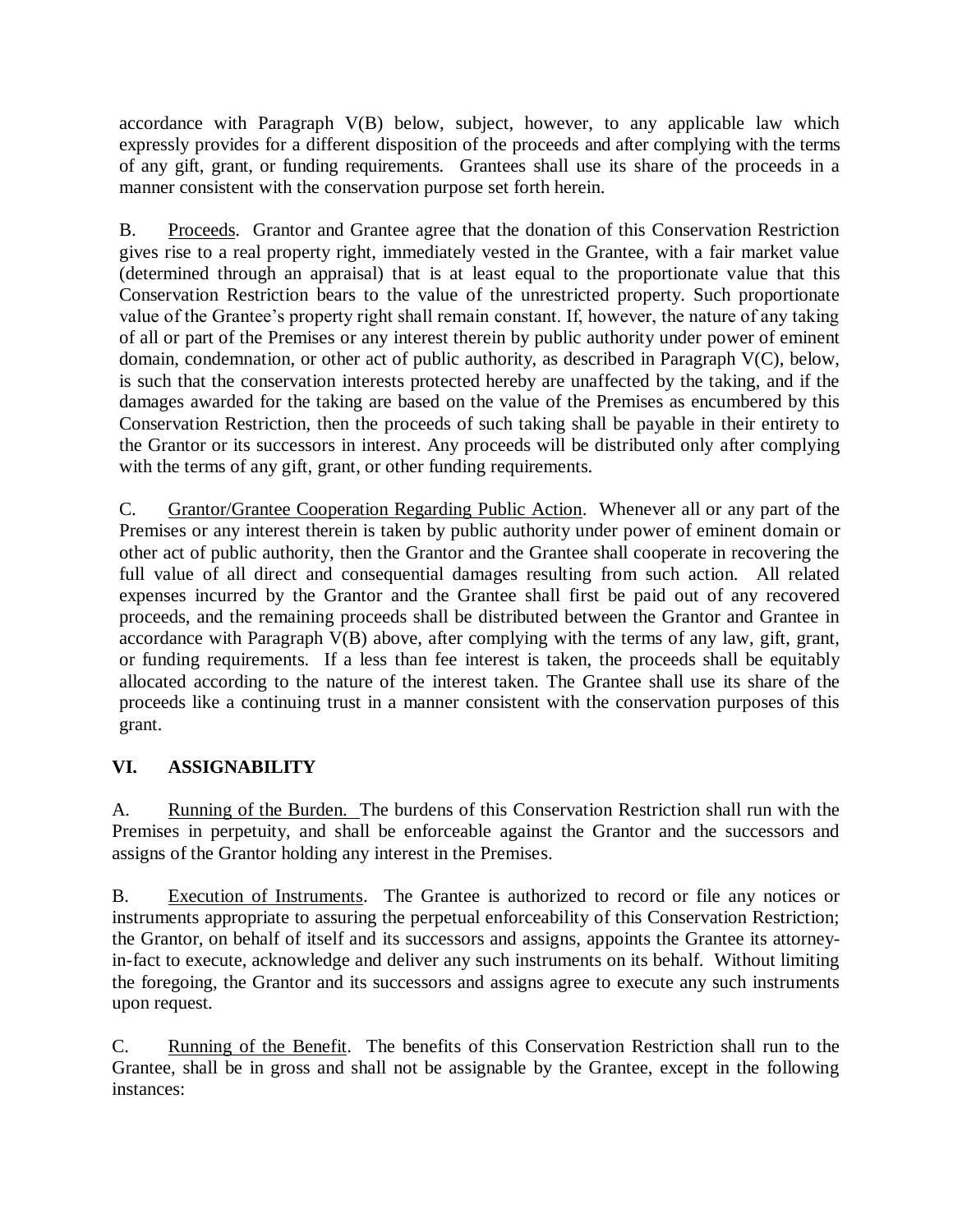accordance with Paragraph V(B) below, subject, however, to any applicable law which expressly provides for a different disposition of the proceeds and after complying with the terms of any gift, grant, or funding requirements. Grantees shall use its share of the proceeds in a manner consistent with the conservation purpose set forth herein.

B. Proceeds. Grantor and Grantee agree that the donation of this Conservation Restriction gives rise to a real property right, immediately vested in the Grantee, with a fair market value (determined through an appraisal) that is at least equal to the proportionate value that this Conservation Restriction bears to the value of the unrestricted property. Such proportionate value of the Grantee's property right shall remain constant. If, however, the nature of any taking of all or part of the Premises or any interest therein by public authority under power of eminent domain, condemnation, or other act of public authority, as described in Paragraph V(C), below, is such that the conservation interests protected hereby are unaffected by the taking, and if the damages awarded for the taking are based on the value of the Premises as encumbered by this Conservation Restriction, then the proceeds of such taking shall be payable in their entirety to the Grantor or its successors in interest. Any proceeds will be distributed only after complying with the terms of any gift, grant, or other funding requirements.

C. Grantor/Grantee Cooperation Regarding Public Action. Whenever all or any part of the Premises or any interest therein is taken by public authority under power of eminent domain or other act of public authority, then the Grantor and the Grantee shall cooperate in recovering the full value of all direct and consequential damages resulting from such action. All related expenses incurred by the Grantor and the Grantee shall first be paid out of any recovered proceeds, and the remaining proceeds shall be distributed between the Grantor and Grantee in accordance with Paragraph V(B) above, after complying with the terms of any law, gift, grant, or funding requirements. If a less than fee interest is taken, the proceeds shall be equitably allocated according to the nature of the interest taken. The Grantee shall use its share of the proceeds like a continuing trust in a manner consistent with the conservation purposes of this grant.

# **VI. ASSIGNABILITY**

A. Running of the Burden. The burdens of this Conservation Restriction shall run with the Premises in perpetuity, and shall be enforceable against the Grantor and the successors and assigns of the Grantor holding any interest in the Premises.

B. Execution of Instruments. The Grantee is authorized to record or file any notices or instruments appropriate to assuring the perpetual enforceability of this Conservation Restriction; the Grantor, on behalf of itself and its successors and assigns, appoints the Grantee its attorneyin-fact to execute, acknowledge and deliver any such instruments on its behalf. Without limiting the foregoing, the Grantor and its successors and assigns agree to execute any such instruments upon request.

C. Running of the Benefit. The benefits of this Conservation Restriction shall run to the Grantee, shall be in gross and shall not be assignable by the Grantee, except in the following instances: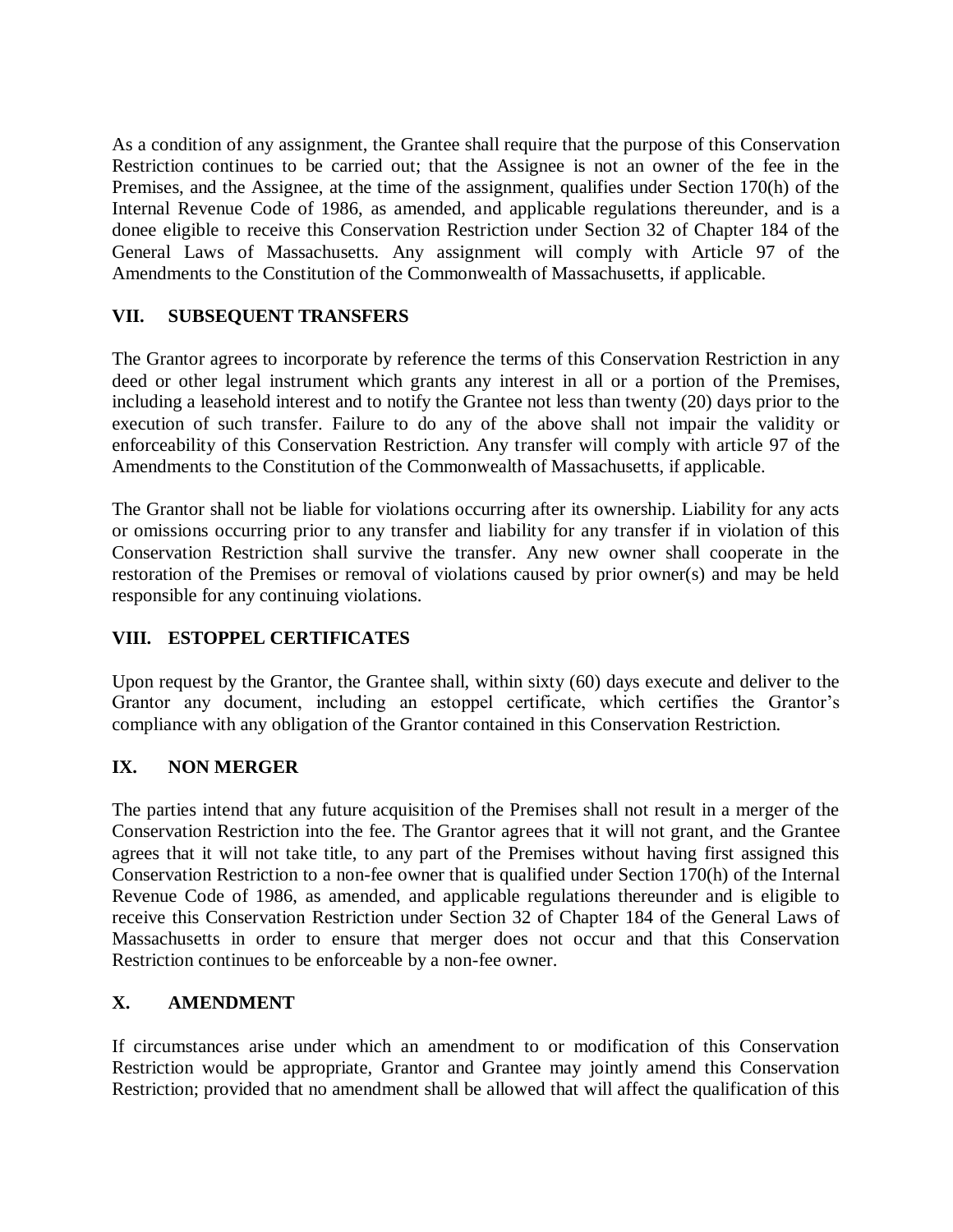As a condition of any assignment, the Grantee shall require that the purpose of this Conservation Restriction continues to be carried out; that the Assignee is not an owner of the fee in the Premises, and the Assignee, at the time of the assignment, qualifies under Section 170(h) of the Internal Revenue Code of 1986, as amended, and applicable regulations thereunder, and is a donee eligible to receive this Conservation Restriction under Section 32 of Chapter 184 of the General Laws of Massachusetts. Any assignment will comply with Article 97 of the Amendments to the Constitution of the Commonwealth of Massachusetts, if applicable.

# **VII. SUBSEQUENT TRANSFERS**

The Grantor agrees to incorporate by reference the terms of this Conservation Restriction in any deed or other legal instrument which grants any interest in all or a portion of the Premises, including a leasehold interest and to notify the Grantee not less than twenty (20) days prior to the execution of such transfer. Failure to do any of the above shall not impair the validity or enforceability of this Conservation Restriction. Any transfer will comply with article 97 of the Amendments to the Constitution of the Commonwealth of Massachusetts, if applicable.

The Grantor shall not be liable for violations occurring after its ownership. Liability for any acts or omissions occurring prior to any transfer and liability for any transfer if in violation of this Conservation Restriction shall survive the transfer. Any new owner shall cooperate in the restoration of the Premises or removal of violations caused by prior owner(s) and may be held responsible for any continuing violations.

# **VIII. ESTOPPEL CERTIFICATES**

Upon request by the Grantor, the Grantee shall, within sixty (60) days execute and deliver to the Grantor any document, including an estoppel certificate, which certifies the Grantor's compliance with any obligation of the Grantor contained in this Conservation Restriction.

# **IX. NON MERGER**

The parties intend that any future acquisition of the Premises shall not result in a merger of the Conservation Restriction into the fee. The Grantor agrees that it will not grant, and the Grantee agrees that it will not take title, to any part of the Premises without having first assigned this Conservation Restriction to a non-fee owner that is qualified under Section 170(h) of the Internal Revenue Code of 1986, as amended, and applicable regulations thereunder and is eligible to receive this Conservation Restriction under Section 32 of Chapter 184 of the General Laws of Massachusetts in order to ensure that merger does not occur and that this Conservation Restriction continues to be enforceable by a non-fee owner.

# **X. AMENDMENT**

If circumstances arise under which an amendment to or modification of this Conservation Restriction would be appropriate, Grantor and Grantee may jointly amend this Conservation Restriction; provided that no amendment shall be allowed that will affect the qualification of this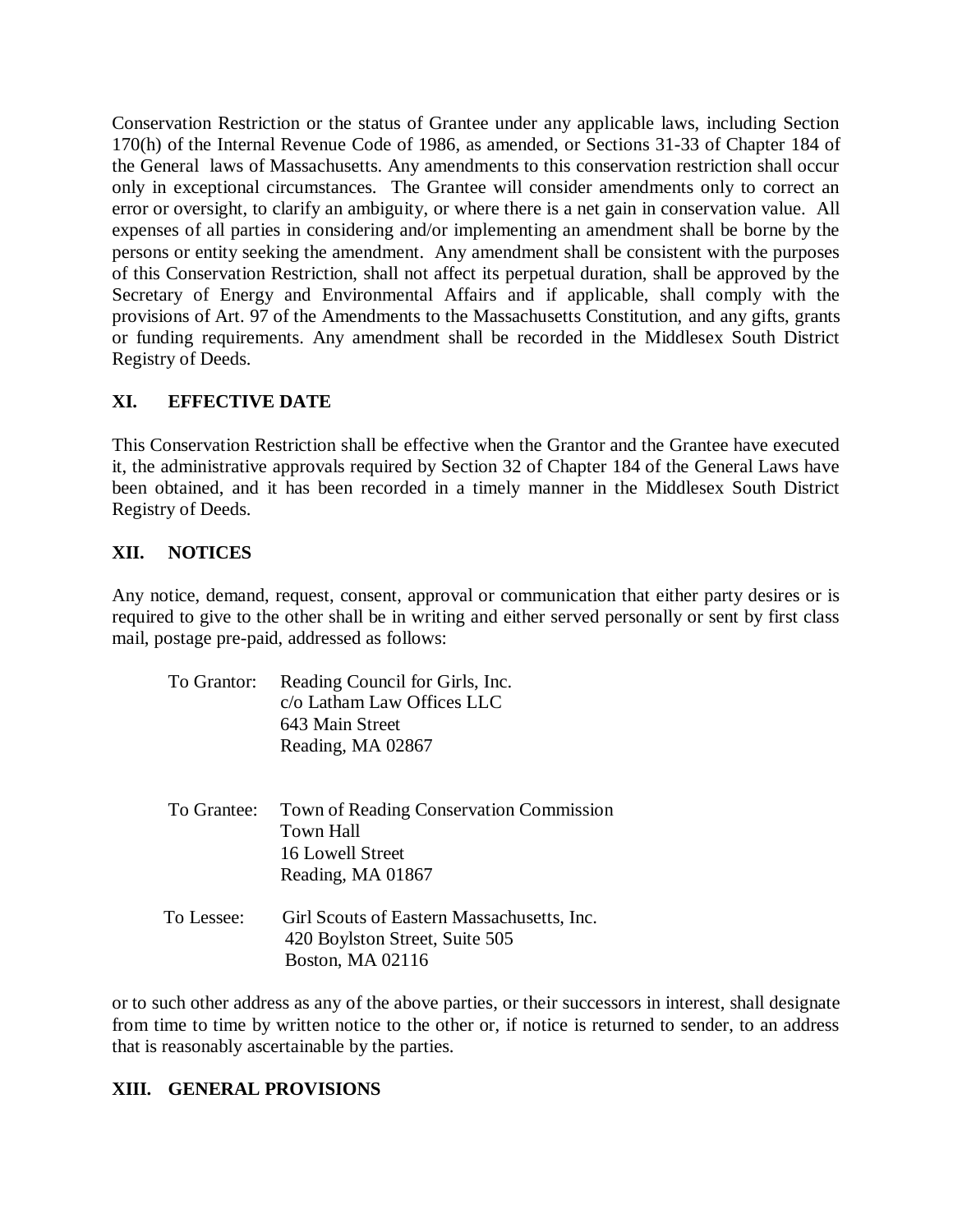Conservation Restriction or the status of Grantee under any applicable laws, including Section 170(h) of the Internal Revenue Code of 1986, as amended, or Sections 31-33 of Chapter 184 of the General laws of Massachusetts. Any amendments to this conservation restriction shall occur only in exceptional circumstances. The Grantee will consider amendments only to correct an error or oversight, to clarify an ambiguity, or where there is a net gain in conservation value. All expenses of all parties in considering and/or implementing an amendment shall be borne by the persons or entity seeking the amendment. Any amendment shall be consistent with the purposes of this Conservation Restriction, shall not affect its perpetual duration, shall be approved by the Secretary of Energy and Environmental Affairs and if applicable, shall comply with the provisions of Art. 97 of the Amendments to the Massachusetts Constitution, and any gifts, grants or funding requirements. Any amendment shall be recorded in the Middlesex South District Registry of Deeds.

# **XI. EFFECTIVE DATE**

This Conservation Restriction shall be effective when the Grantor and the Grantee have executed it, the administrative approvals required by Section 32 of Chapter 184 of the General Laws have been obtained, and it has been recorded in a timely manner in the Middlesex South District Registry of Deeds.

# **XII. NOTICES**

Any notice, demand, request, consent, approval or communication that either party desires or is required to give to the other shall be in writing and either served personally or sent by first class mail, postage pre-paid, addressed as follows:

| To Grantor: | Reading Council for Girls, Inc.<br>c/o Latham Law Offices LLC<br>643 Main Street<br>Reading, MA 02867 |
|-------------|-------------------------------------------------------------------------------------------------------|
| To Grantee: | <b>Town of Reading Conservation Commission</b><br>Town Hall<br>16 Lowell Street<br>Reading, MA 01867  |
| To Lessee:  | Girl Scouts of Eastern Massachusetts, Inc.<br>420 Boylston Street, Suite 505<br>Boston, MA 02116      |

or to such other address as any of the above parties, or their successors in interest, shall designate from time to time by written notice to the other or, if notice is returned to sender, to an address that is reasonably ascertainable by the parties.

# **XIII. GENERAL PROVISIONS**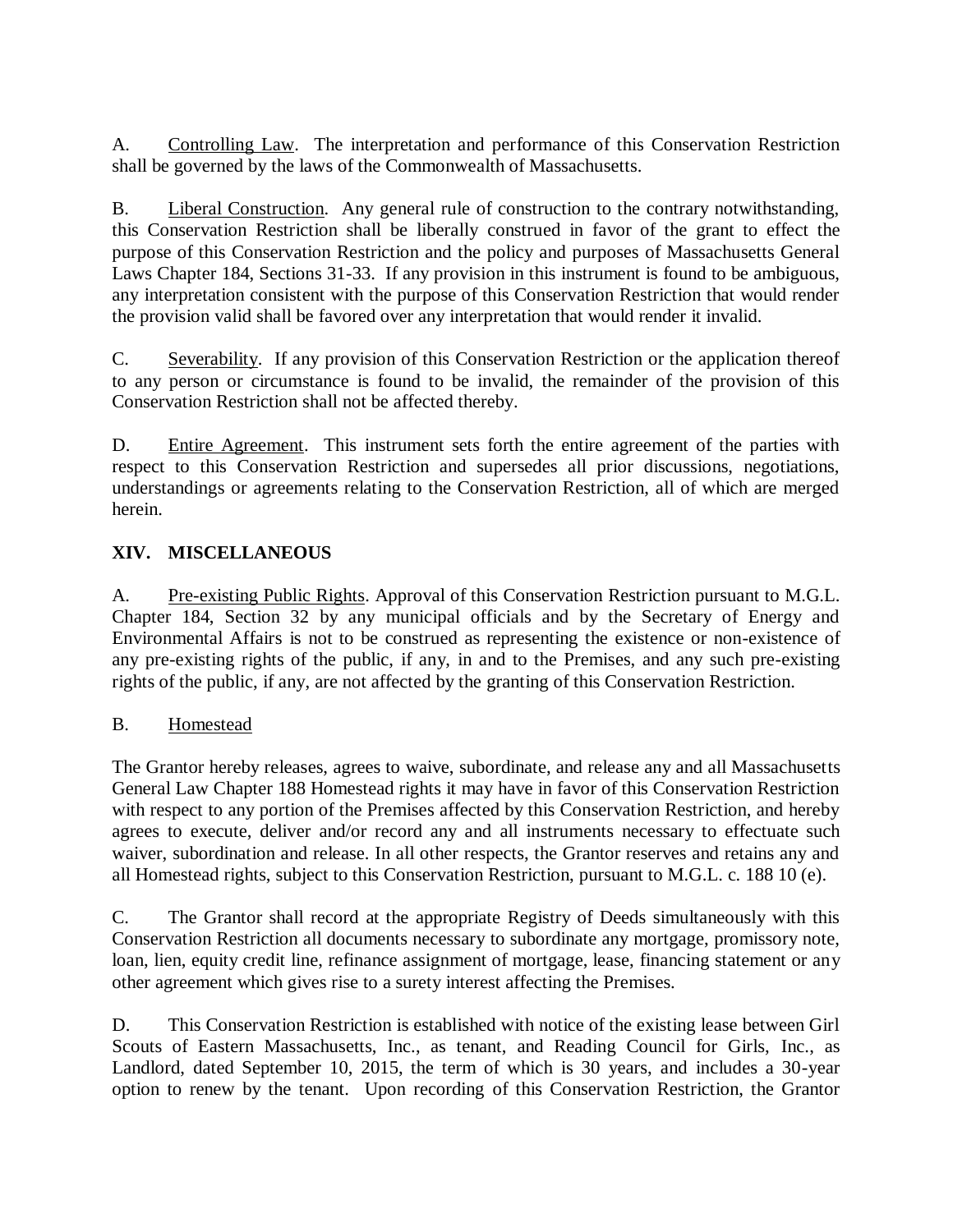A. Controlling Law. The interpretation and performance of this Conservation Restriction shall be governed by the laws of the Commonwealth of Massachusetts.

B. Liberal Construction. Any general rule of construction to the contrary notwithstanding, this Conservation Restriction shall be liberally construed in favor of the grant to effect the purpose of this Conservation Restriction and the policy and purposes of Massachusetts General Laws Chapter 184, Sections 31-33. If any provision in this instrument is found to be ambiguous, any interpretation consistent with the purpose of this Conservation Restriction that would render the provision valid shall be favored over any interpretation that would render it invalid.

C. Severability. If any provision of this Conservation Restriction or the application thereof to any person or circumstance is found to be invalid, the remainder of the provision of this Conservation Restriction shall not be affected thereby.

D. Entire Agreement. This instrument sets forth the entire agreement of the parties with respect to this Conservation Restriction and supersedes all prior discussions, negotiations, understandings or agreements relating to the Conservation Restriction, all of which are merged herein.

# **XIV. MISCELLANEOUS**

A. Pre-existing Public Rights. Approval of this Conservation Restriction pursuant to M.G.L. Chapter 184, Section 32 by any municipal officials and by the Secretary of Energy and Environmental Affairs is not to be construed as representing the existence or non-existence of any pre-existing rights of the public, if any, in and to the Premises, and any such pre-existing rights of the public, if any, are not affected by the granting of this Conservation Restriction.

# B. Homestead

The Grantor hereby releases, agrees to waive, subordinate, and release any and all Massachusetts General Law Chapter 188 Homestead rights it may have in favor of this Conservation Restriction with respect to any portion of the Premises affected by this Conservation Restriction, and hereby agrees to execute, deliver and/or record any and all instruments necessary to effectuate such waiver, subordination and release. In all other respects, the Grantor reserves and retains any and all Homestead rights, subject to this Conservation Restriction, pursuant to M.G.L. c. 188 10 (e).

C. The Grantor shall record at the appropriate Registry of Deeds simultaneously with this Conservation Restriction all documents necessary to subordinate any mortgage, promissory note, loan, lien, equity credit line, refinance assignment of mortgage, lease, financing statement or any other agreement which gives rise to a surety interest affecting the Premises.

D. This Conservation Restriction is established with notice of the existing lease between Girl Scouts of Eastern Massachusetts, Inc., as tenant, and Reading Council for Girls, Inc., as Landlord, dated September 10, 2015, the term of which is 30 years, and includes a 30-year option to renew by the tenant. Upon recording of this Conservation Restriction, the Grantor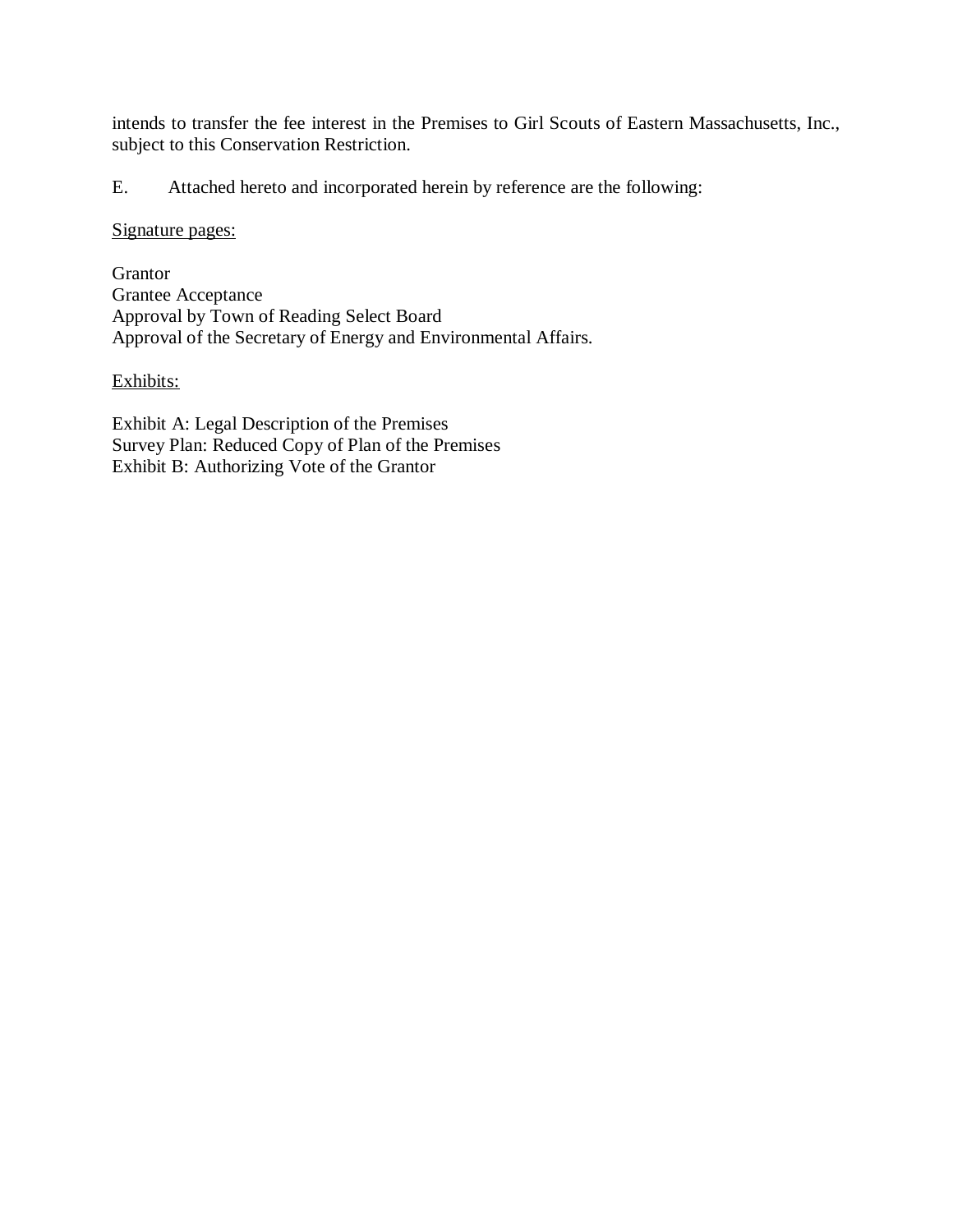intends to transfer the fee interest in the Premises to Girl Scouts of Eastern Massachusetts, Inc., subject to this Conservation Restriction.

E. Attached hereto and incorporated herein by reference are the following:

### Signature pages:

Grantor Grantee Acceptance Approval by Town of Reading Select Board Approval of the Secretary of Energy and Environmental Affairs.

### Exhibits:

Exhibit A: Legal Description of the Premises Survey Plan: Reduced Copy of Plan of the Premises Exhibit B: Authorizing Vote of the Grantor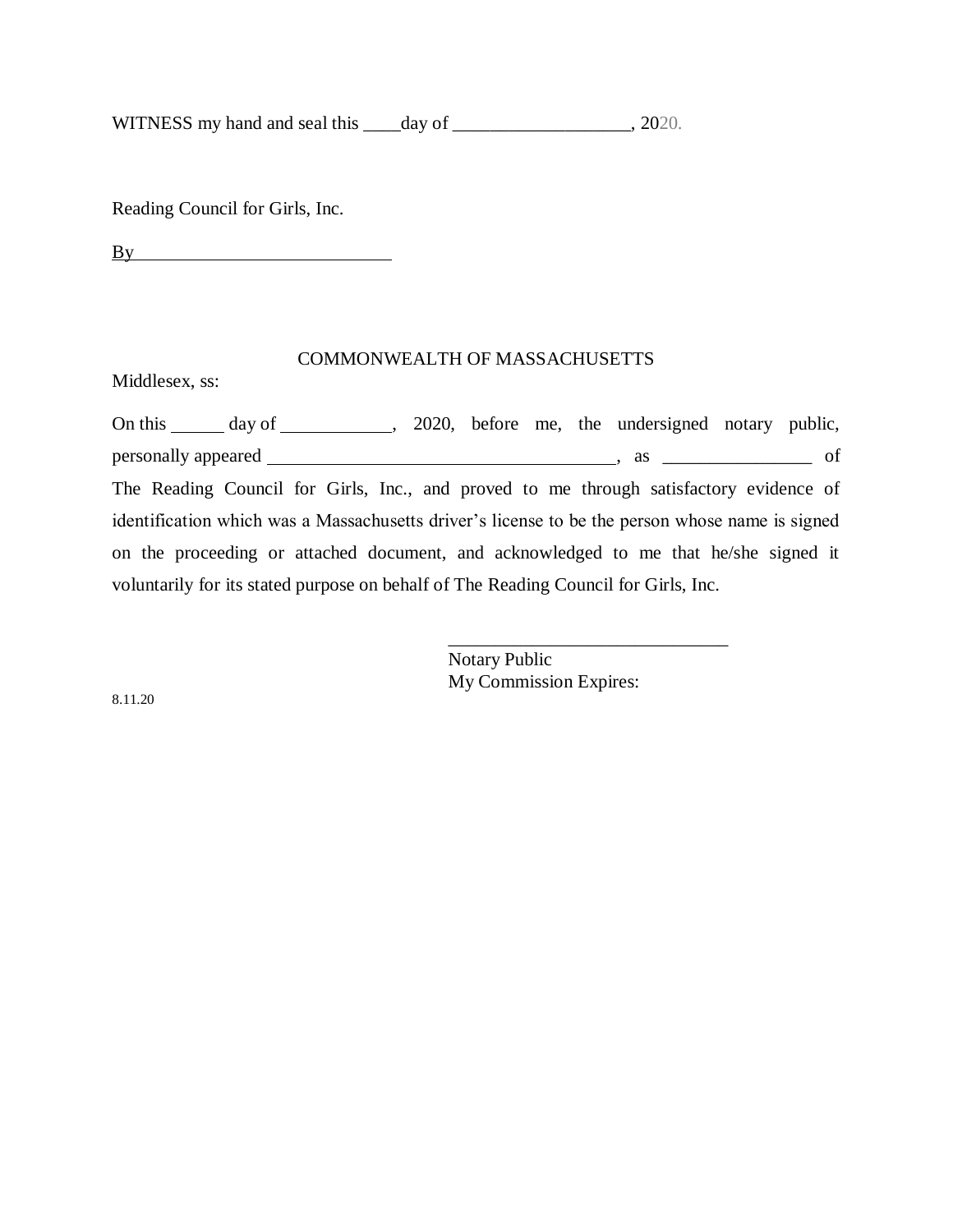WITNESS my hand and seal this \_\_\_\_day of \_\_\_\_\_\_\_\_\_\_\_\_\_\_\_\_\_\_, 2020.

Reading Council for Girls, Inc.

By **Example 20** 

### COMMONWEALTH OF MASSACHUSETTS

Middlesex, ss:

On this day of 12020, before me, the undersigned notary public, personally appeared , as \_\_\_\_\_\_\_\_\_\_\_\_\_\_\_\_ of The Reading Council for Girls, Inc., and proved to me through satisfactory evidence of identification which was a Massachusetts driver's license to be the person whose name is signed on the proceeding or attached document, and acknowledged to me that he/she signed it voluntarily for its stated purpose on behalf of The Reading Council for Girls, Inc.

> \_\_\_\_\_\_\_\_\_\_\_\_\_\_\_\_\_\_\_\_\_\_\_\_\_\_\_\_\_\_ Notary Public My Commission Expires:

8.11.20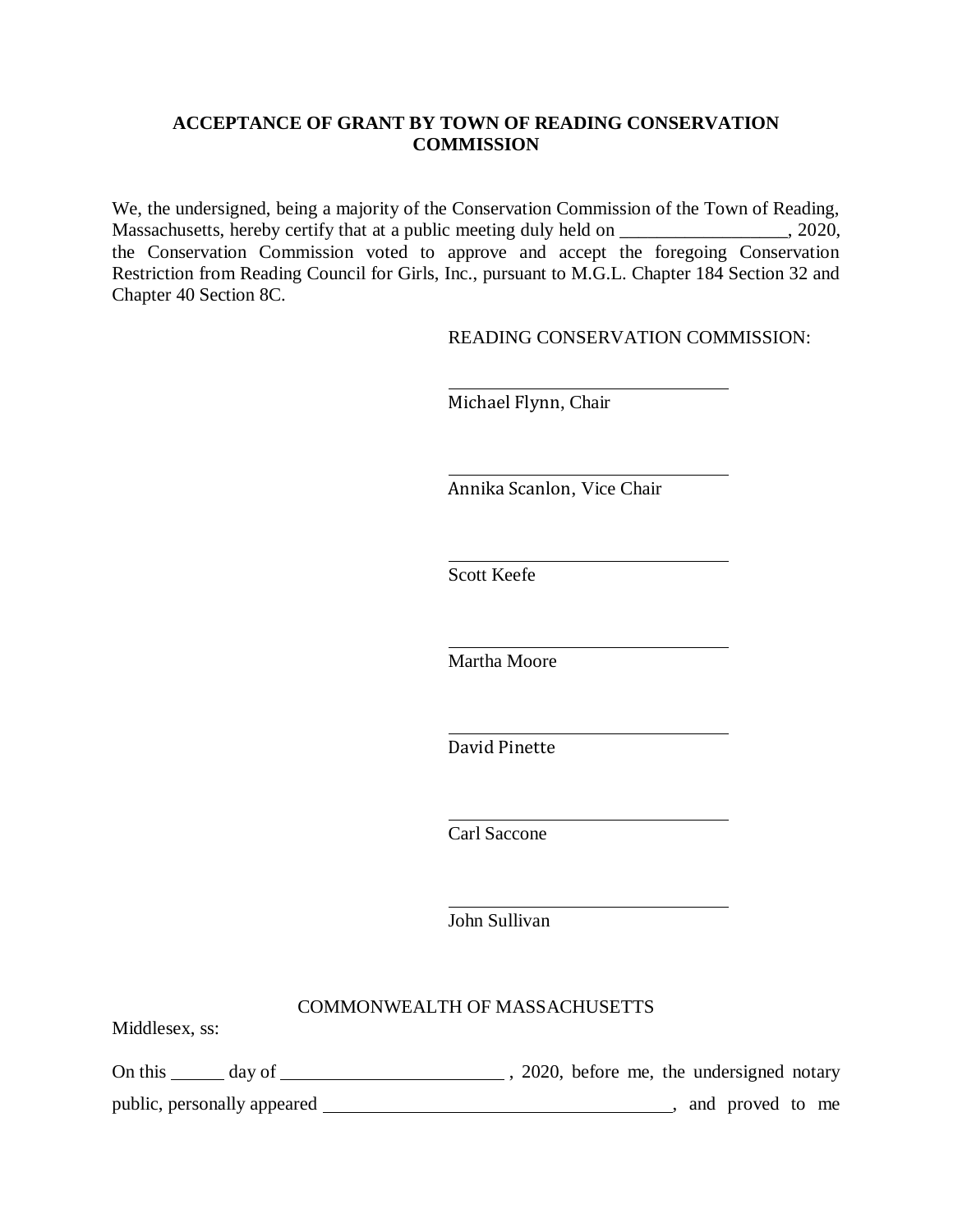### **ACCEPTANCE OF GRANT BY TOWN OF READING CONSERVATION COMMISSION**

We, the undersigned, being a majority of the Conservation Commission of the Town of Reading, Massachusetts, hereby certify that at a public meeting duly held on \_\_\_\_\_\_\_\_\_\_\_\_\_\_, 2020, the Conservation Commission voted to approve and accept the foregoing Conservation Restriction from Reading Council for Girls, Inc., pursuant to M.G.L. Chapter 184 Section 32 and Chapter 40 Section 8C.

READING CONSERVATION COMMISSION:

Michael Flynn, Chair

Annika Scanlon, Vice Chair

Scott Keefe

Martha Moore

David Pinette

Carl Saccone

John Sullivan

### COMMONWEALTH OF MASSACHUSETTS

Middlesex, ss:

| On this                     | day of |  |  |  | 2020, before me, the undersigned notary |  |
|-----------------------------|--------|--|--|--|-----------------------------------------|--|
| public, personally appeared |        |  |  |  | and proved to me                        |  |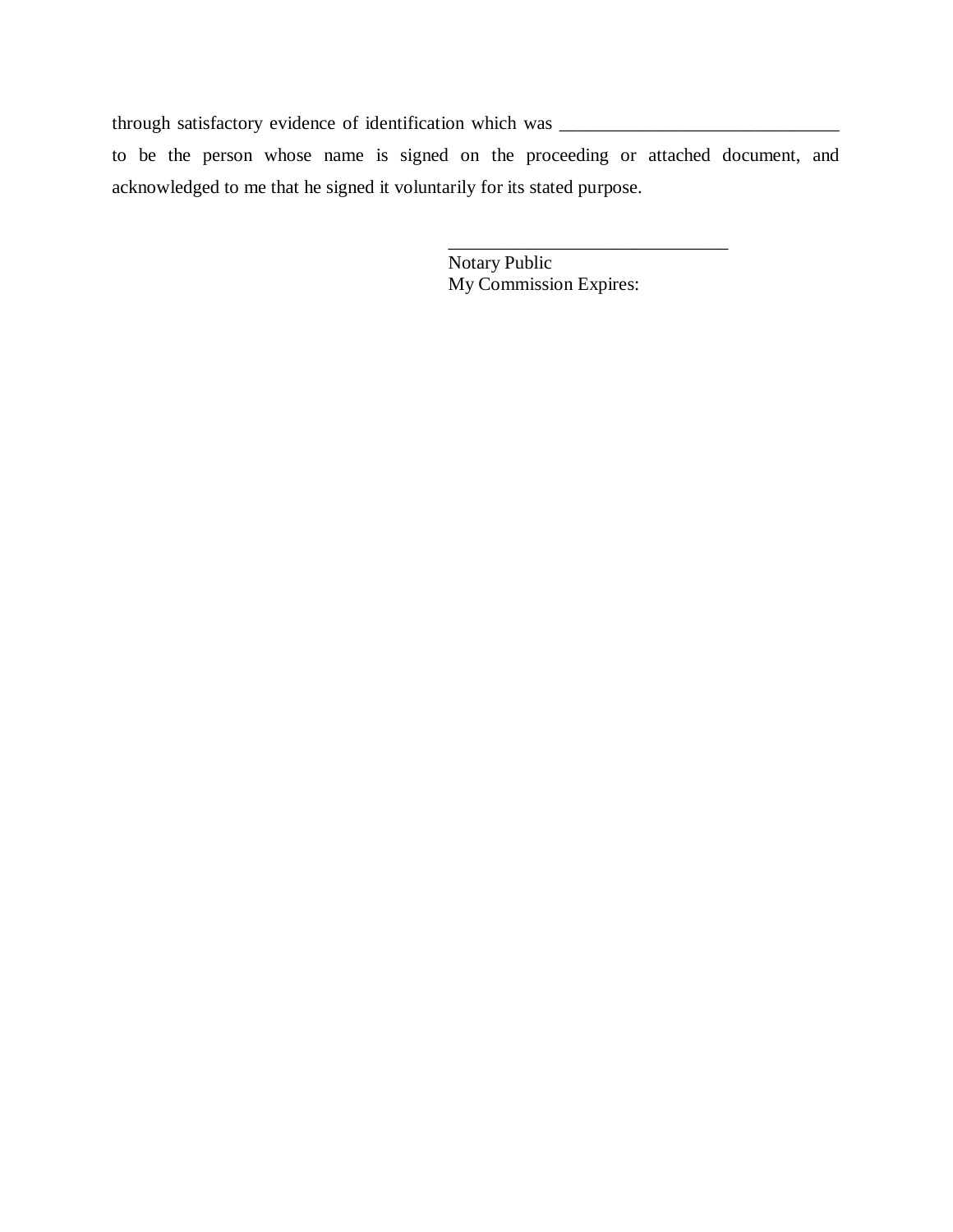through satisfactory evidence of identification which was \_\_\_\_\_\_\_\_\_\_\_\_\_\_\_\_\_\_\_\_\_\_\_\_\_\_\_\_\_\_

to be the person whose name is signed on the proceeding or attached document, and acknowledged to me that he signed it voluntarily for its stated purpose.

> Notary Public My Commission Expires:

\_\_\_\_\_\_\_\_\_\_\_\_\_\_\_\_\_\_\_\_\_\_\_\_\_\_\_\_\_\_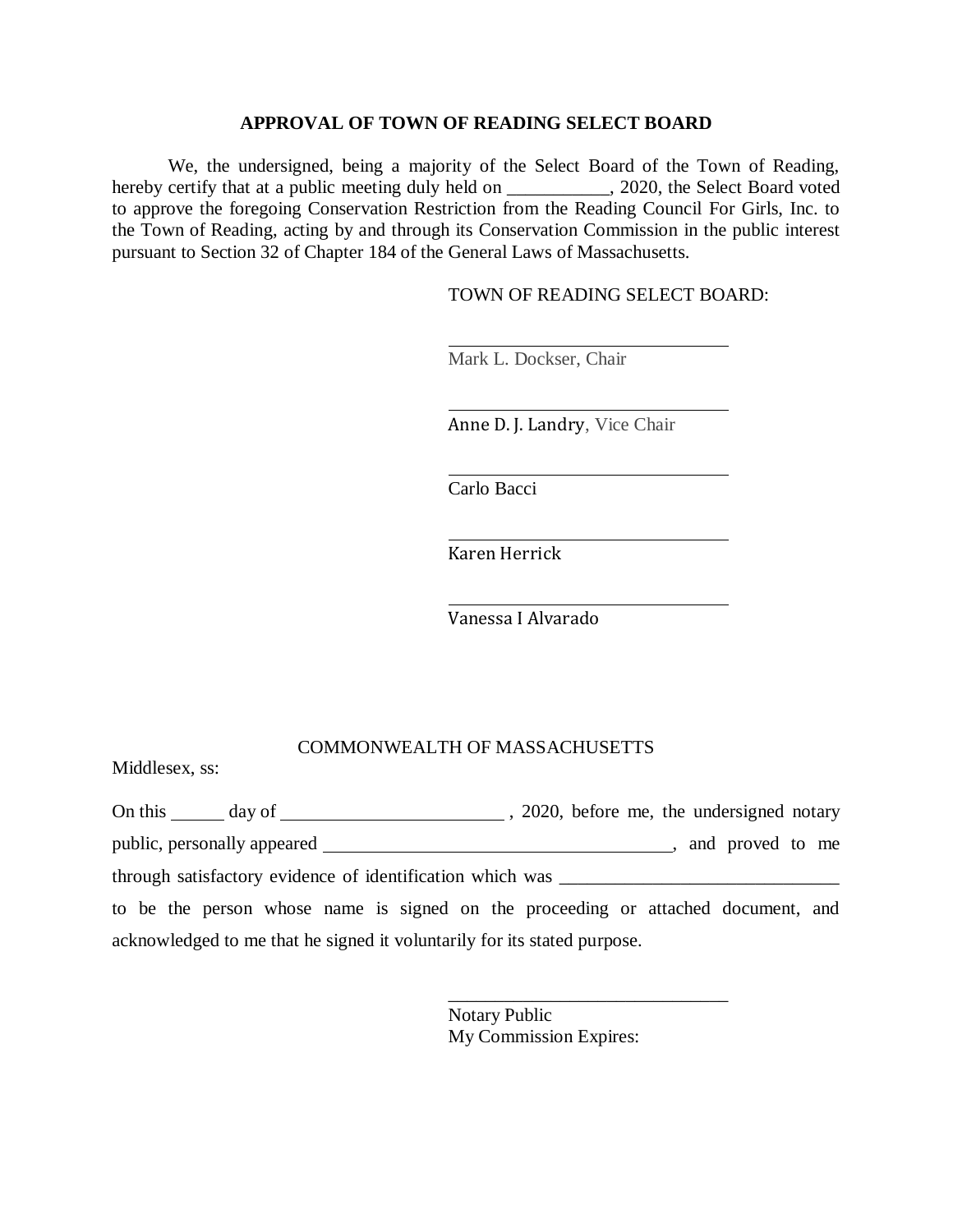#### **APPROVAL OF TOWN OF READING SELECT BOARD**

We, the undersigned, being a majority of the Select Board of the Town of Reading, hereby certify that at a public meeting duly held on \_\_\_\_\_\_\_\_\_, 2020, the Select Board voted to approve the foregoing Conservation Restriction from the Reading Council For Girls, Inc. to the Town of Reading, acting by and through its Conservation Commission in the public interest pursuant to Section 32 of Chapter 184 of the General Laws of Massachusetts.

### TOWN OF READING SELECT BOARD:

Mark L. Dockser, Chair

Anne D. J. [Landry](mailto:anne.landry@ci.reading.ma.us), Vice Chair

Carlo [Bacci](mailto:carlo.bacci@ci.reading.ma.us)

Karen [Herrick](mailto:karen.herrick@ci.reading.ma.us)

Vanessa I [Alvarado](mailto:vanessa.alvarado@ci.reading.ma.us)

# COMMONWEALTH OF MASSACHUSETTS

Middlesex, ss:

On this day of , 2020, before me, the undersigned notary public, personally appeared , and proved to me through satisfactory evidence of identification which was to be the person whose name is signed on the proceeding or attached document, and acknowledged to me that he signed it voluntarily for its stated purpose.

> Notary Public My Commission Expires:

\_\_\_\_\_\_\_\_\_\_\_\_\_\_\_\_\_\_\_\_\_\_\_\_\_\_\_\_\_\_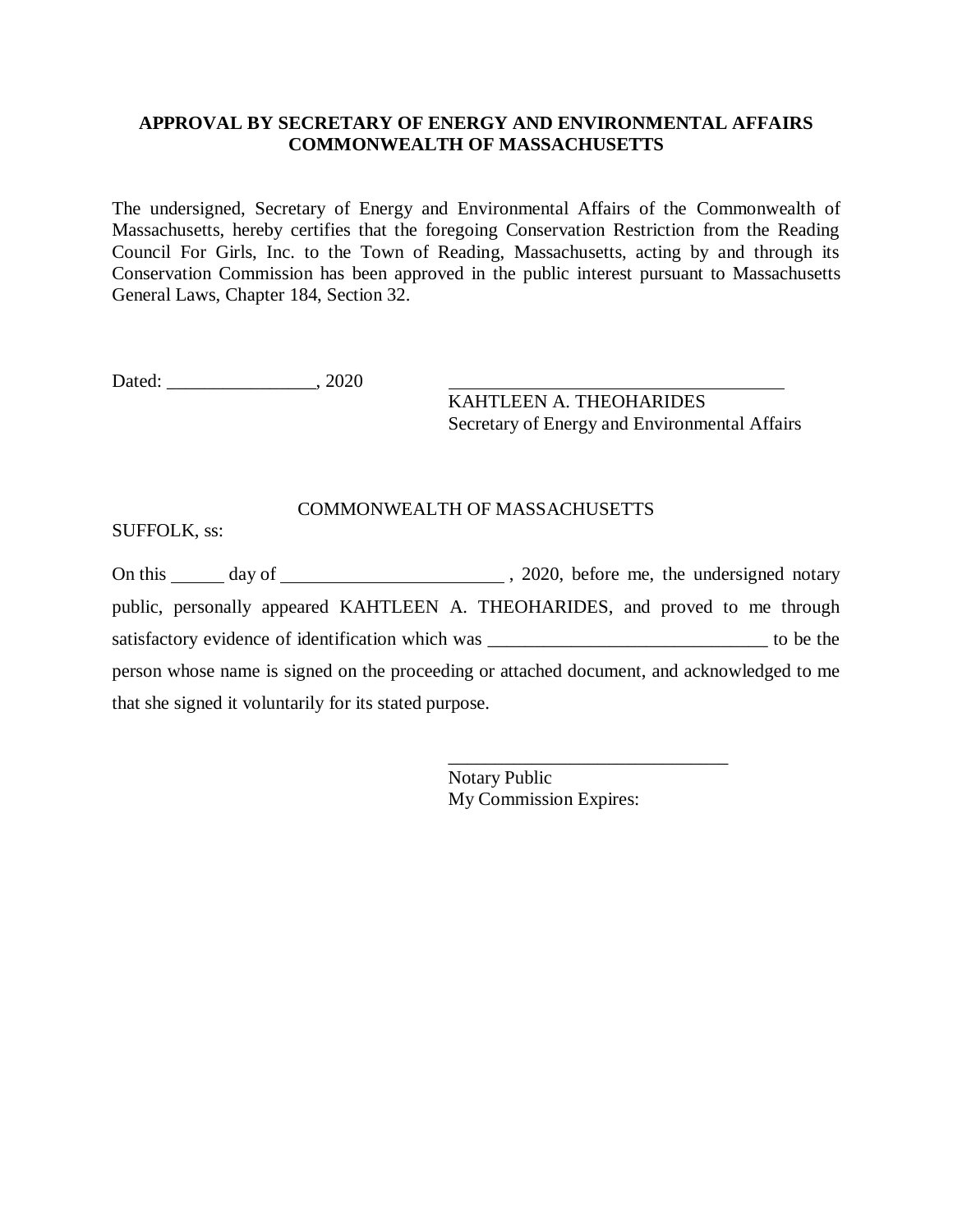### **APPROVAL BY SECRETARY OF ENERGY AND ENVIRONMENTAL AFFAIRS COMMONWEALTH OF MASSACHUSETTS**

The undersigned, Secretary of Energy and Environmental Affairs of the Commonwealth of Massachusetts, hereby certifies that the foregoing Conservation Restriction from the Reading Council For Girls, Inc. to the Town of Reading, Massachusetts, acting by and through its Conservation Commission has been approved in the public interest pursuant to Massachusetts General Laws, Chapter 184, Section 32.

Dated: \_\_\_\_\_\_\_\_\_\_\_\_\_\_\_\_, 2020

KAHTLEEN A. THEOHARIDES Secretary of Energy and Environmental Affairs

### COMMONWEALTH OF MASSACHUSETTS

SUFFOLK, ss:

|                                                                                  | public, personally appeared KAHTLEEN A. THEOHARIDES, and proved to me through              |
|----------------------------------------------------------------------------------|--------------------------------------------------------------------------------------------|
| satisfactory evidence of identification which was ______________________________ | to be the                                                                                  |
|                                                                                  | person whose name is signed on the proceeding or attached document, and acknowledged to me |
| that she signed it voluntarily for its stated purpose.                           |                                                                                            |

Notary Public My Commission Expires:

\_\_\_\_\_\_\_\_\_\_\_\_\_\_\_\_\_\_\_\_\_\_\_\_\_\_\_\_\_\_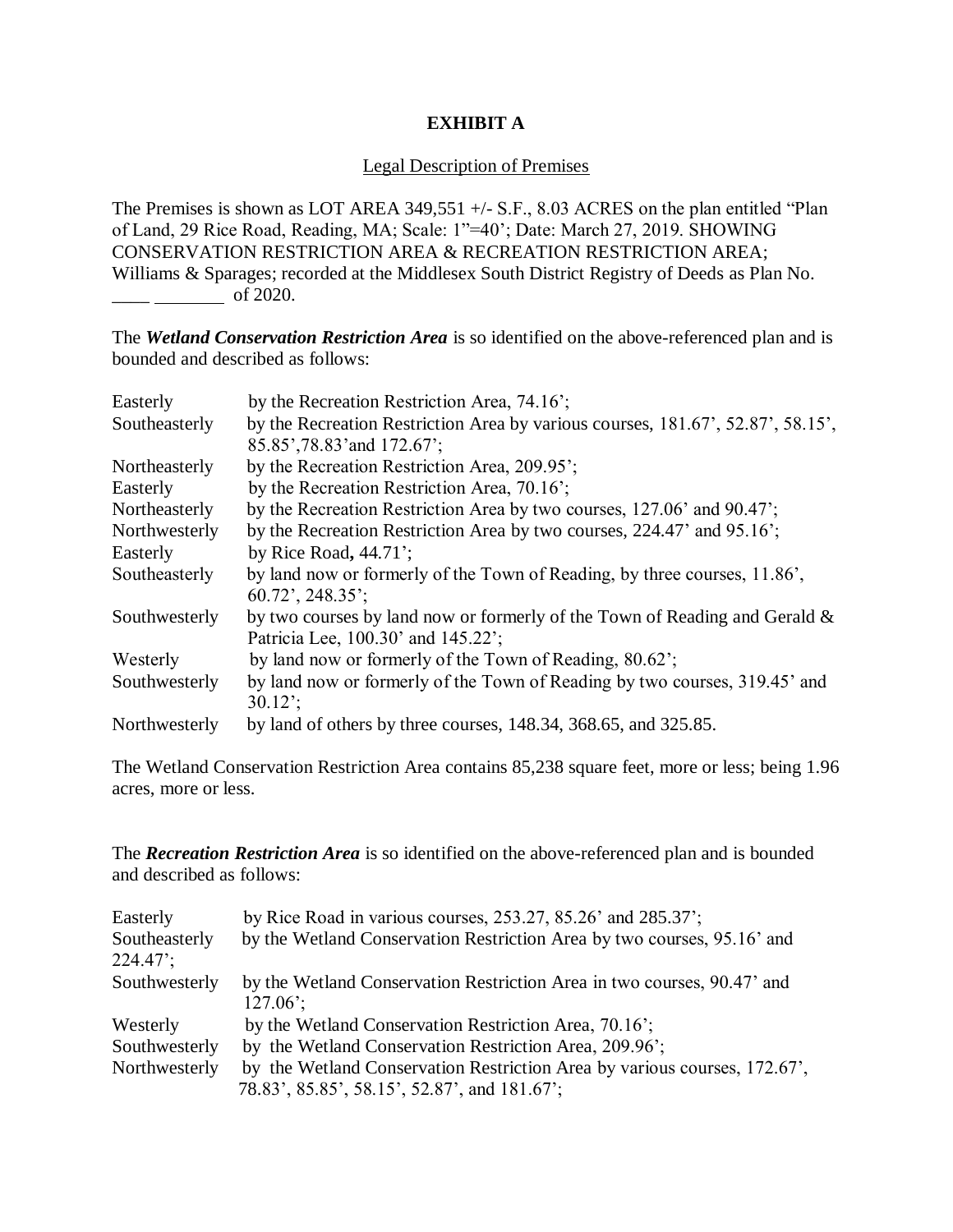# **EXHIBIT A**

### Legal Description of Premises

The Premises is shown as LOT AREA 349,551 +/- S.F., 8.03 ACRES on the plan entitled "Plan of Land, 29 Rice Road, Reading, MA; Scale: 1"=40'; Date: March 27, 2019. SHOWING CONSERVATION RESTRICTION AREA & RECREATION RESTRICTION AREA; Williams & Sparages; recorded at the Middlesex South District Registry of Deeds as Plan No.  $\frac{1}{\sqrt{1-\frac{1}{2}}}\cdot \frac{1}{\sqrt{1-\frac{1}{2}}}\cdot \frac{1}{\sqrt{1-\frac{1}{2}}}\cdot \frac{1}{\sqrt{1-\frac{1}{2}}}\cdot \frac{1}{\sqrt{1-\frac{1}{2}}}\cdot \frac{1}{\sqrt{1-\frac{1}{2}}}\cdot \frac{1}{\sqrt{1-\frac{1}{2}}}\cdot \frac{1}{\sqrt{1-\frac{1}{2}}}\cdot \frac{1}{\sqrt{1-\frac{1}{2}}}\cdot \frac{1}{\sqrt{1-\frac{1}{2}}}\cdot \frac{1}{\sqrt{1-\frac{1}{2}}}\cdot \frac{1}{\sqrt{1-\frac{1}{2}}}\cdot \frac{1$ 

The *Wetland Conservation Restriction Area* is so identified on the above-referenced plan and is bounded and described as follows:

| Easterly      | by the Recreation Restriction Area, 74.16;                                      |
|---------------|---------------------------------------------------------------------------------|
| Southeasterly | by the Recreation Restriction Area by various courses, 181.67', 52.87', 58.15', |
|               | 85.85', 78.83' and 172.67';                                                     |
| Northeasterly | by the Recreation Restriction Area, 209.95;                                     |
| Easterly      | by the Recreation Restriction Area, 70.16';                                     |
| Northeasterly | by the Recreation Restriction Area by two courses, 127.06' and 90.47';          |
| Northwesterly | by the Recreation Restriction Area by two courses, 224.47' and 95.16';          |
| Easterly      | by Rice Road, $44.71$ ;                                                         |
| Southeasterly | by land now or formerly of the Town of Reading, by three courses, 11.86'.       |
|               | $60.72$ ', 248.35';                                                             |
| Southwesterly | by two courses by land now or formerly of the Town of Reading and Gerald $\&$   |
|               | Patricia Lee, 100.30' and 145.22';                                              |
| Westerly      | by land now or formerly of the Town of Reading, 80.62';                         |
| Southwesterly | by land now or formerly of the Town of Reading by two courses, 319.45' and      |
|               | $30.12$ ;                                                                       |
| Northwesterly | by land of others by three courses, 148.34, 368.65, and 325.85.                 |
|               |                                                                                 |

The Wetland Conservation Restriction Area contains 85,238 square feet, more or less; being 1.96 acres, more or less.

The *Recreation Restriction Area* is so identified on the above-referenced plan and is bounded and described as follows:

| Easterly                    | by Rice Road in various courses, $253.27$ , $85.26$ and $285.37$ ;                                                        |
|-----------------------------|---------------------------------------------------------------------------------------------------------------------------|
| Southeasterly<br>$224.47$ ; | by the Wetland Conservation Restriction Area by two courses, 95.16' and                                                   |
| Southwesterly               | by the Wetland Conservation Restriction Area in two courses, 90.47' and<br>$127.06$ ;                                     |
| Westerly                    | by the Wetland Conservation Restriction Area, 70.16;                                                                      |
| Southwesterly               | by the Wetland Conservation Restriction Area, 209.96';                                                                    |
| Northwesterly               | by the Wetland Conservation Restriction Area by various courses, 172.67',<br>78.83', 85.85', 58.15', 52.87', and 181.67'; |